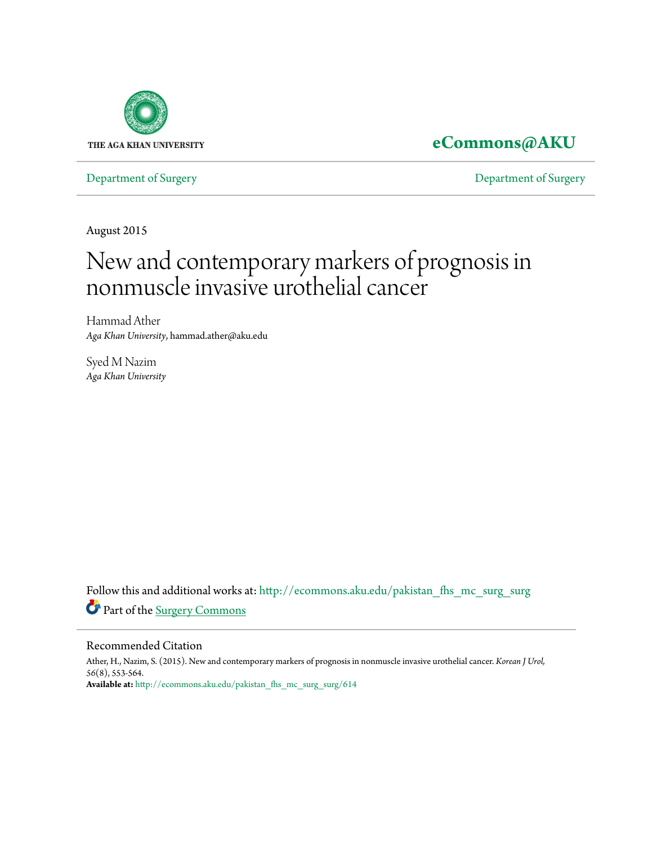

**[eCommons@AKU](http://ecommons.aku.edu?utm_source=ecommons.aku.edu%2Fpakistan_fhs_mc_surg_surg%2F614&utm_medium=PDF&utm_campaign=PDFCoverPages)**

[Department of Surgery](http://ecommons.aku.edu/pakistan_fhs_mc_surg_surg?utm_source=ecommons.aku.edu%2Fpakistan_fhs_mc_surg_surg%2F614&utm_medium=PDF&utm_campaign=PDFCoverPages) [Department of Surgery](http://ecommons.aku.edu/pakistan_fhs_mc_surg?utm_source=ecommons.aku.edu%2Fpakistan_fhs_mc_surg_surg%2F614&utm_medium=PDF&utm_campaign=PDFCoverPages)

August 2015

# New and contemporary markers of prognosis in nonmuscle invasive urothelial cancer

Hammad Ather *Aga Khan University*, hammad.ather@aku.edu

Syed M Nazim *Aga Khan University*

Follow this and additional works at: [http://ecommons.aku.edu/pakistan\\_fhs\\_mc\\_surg\\_surg](http://ecommons.aku.edu/pakistan_fhs_mc_surg_surg?utm_source=ecommons.aku.edu%2Fpakistan_fhs_mc_surg_surg%2F614&utm_medium=PDF&utm_campaign=PDFCoverPages) Part of the [Surgery Commons](http://network.bepress.com/hgg/discipline/706?utm_source=ecommons.aku.edu%2Fpakistan_fhs_mc_surg_surg%2F614&utm_medium=PDF&utm_campaign=PDFCoverPages)

#### Recommended Citation

Ather, H., Nazim, S. (2015). New and contemporary markers of prognosis in nonmuscle invasive urothelial cancer. *Korean J Urol, 56*(8), 553-564. **Available at:** [http://ecommons.aku.edu/pakistan\\_fhs\\_mc\\_surg\\_surg/614](http://ecommons.aku.edu/pakistan_fhs_mc_surg_surg/614)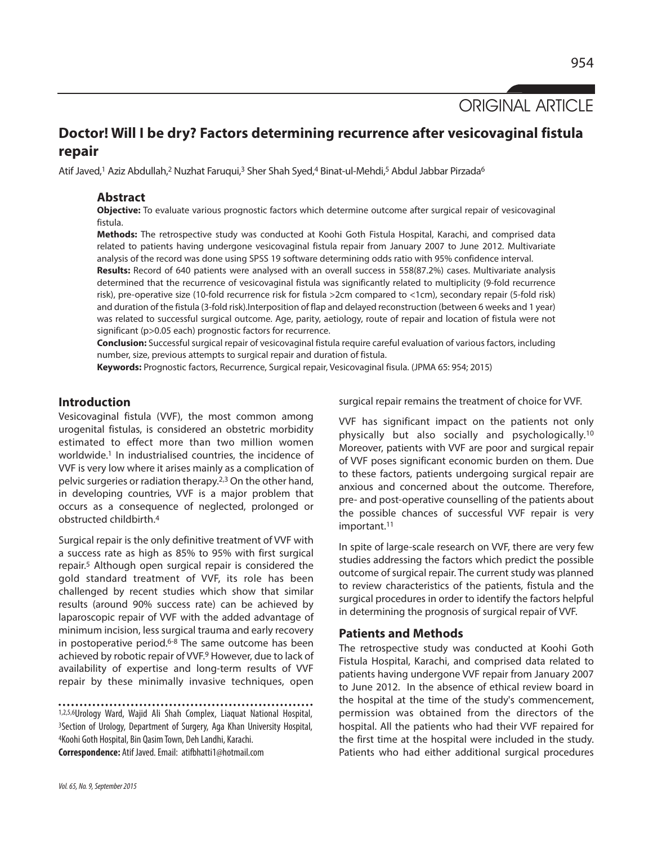ORIGINAL ARTICLE

# **Doctor! Will I be dry? Factors determining recurrence after vesicovaginal fistula repair**

Atif Javed,<sup>1</sup> Aziz Abdullah,<sup>2</sup> Nuzhat Faruqui,<sup>3</sup> Sher Shah Syed,4 Binat-ul-Mehdi,<sup>5</sup> Abdul Jabbar Pirzada<sup>6</sup>

#### **Abstract**

**Objective:** To evaluate various prognostic factors which determine outcome after surgical repair of vesicovaginal fistula.

**Methods:** The retrospective study was conducted at Koohi Goth Fistula Hospital, Karachi, and comprised data related to patients having undergone vesicovaginal fistula repair from January 2007 to June 2012. Multivariate analysis of the record was done using SPSS 19 software determining odds ratio with 95% confidence interval.

**Results:** Record of 640 patients were analysed with an overall success in 558(87.2%) cases. Multivariate analysis determined that the recurrence of vesicovaginal fistula was significantly related to multiplicity (9-fold recurrence risk), pre-operative size (10-fold recurrence risk for fistula >2cm compared to <1cm), secondary repair (5-fold risk) and duration of the fistula (3-fold risk).Interposition of flap and delayed reconstruction (between 6 weeks and 1 year) was related to successful surgical outcome. Age, parity, aetiology, route of repair and location of fistula were not significant (p>0.05 each) prognostic factors for recurrence.

**Conclusion:** Successful surgical repair of vesicovaginal fistula require careful evaluation of various factors, including number, size, previous attempts to surgical repair and duration of fistula.

**Keywords:** Prognostic factors, Recurrence, Surgical repair, Vesicovaginal fisula. (JPMA 65: 954; 2015)

## **Introduction**

Vesicovaginal fistula (VVF), the most common among urogenital fistulas, is considered an obstetric morbidity estimated to effect more than two million women worldwide. <sup>1</sup> In industrialised countries, the incidence of VVF is very low where it arises mainly as a complication of pelvic surgeries or radiation therapy. 2,3 On the other hand, in developing countries, VVF is a major problem that occurs as a consequence of neglected, prolonged or obstructed childbirth. 4

Surgical repair is the only definitive treatment of VVF with a success rate as high as 85% to 95% with first surgical repair. <sup>5</sup> Although open surgical repair is considered the gold standard treatment of VVF, its role has been challenged by recent studies which show that similar results (around 90% success rate) can be achieved by laparoscopic repair of VVF with the added advantage of minimum incision, less surgical trauma and early recovery in postoperative period. 6-8 The same outcome has been achieved by robotic repair of VVF. <sup>9</sup> However, due to lack of availability of expertise and long-term results of VVF repair by these minimally invasive techniques, open

1,2,5,6Urology Ward, Wajid Ali Shah Complex, Liaquat National Hospital, 3Section of Urology, Department of Surgery, Aga Khan University Hospital, 4Koohi Goth Hospital, Bin QasimTown, Deh Landhi, Karachi.

**Correspondence:** Atif Javed.Email: atifbhatti1@hotmail.com

surgical repair remains the treatment of choice for VVF.

VVF has significant impact on the patients not only physically but also socially and psychologically. 10 Moreover, patients with VVF are poor and surgical repair of VVF poses significant economic burden on them. Due to these factors, patients undergoing surgical repair are anxious and concerned about the outcome. Therefore, pre- and post-operative counselling of the patients about the possible chances of successful VVF repair is very important. 11

In spite of large-scale research on VVF, there are very few studies addressing the factors which predict the possible outcome of surgical repair. The current study was planned to review characteristics of the patients, fistula and the surgical procedures in order to identify the factors helpful in determining the prognosis of surgical repair of VVF.

### **Patients and Methods**

The retrospective study was conducted at Koohi Goth Fistula Hospital, Karachi, and comprised data related to patients having undergone VVF repair from January 2007 to June 2012. In the absence of ethical review board in the hospital at the time of the study's commencement, permission was obtained from the directors of the hospital. All the patients who had their VVF repaired for the first time at the hospital were included in the study. Patients who had either additional surgical procedures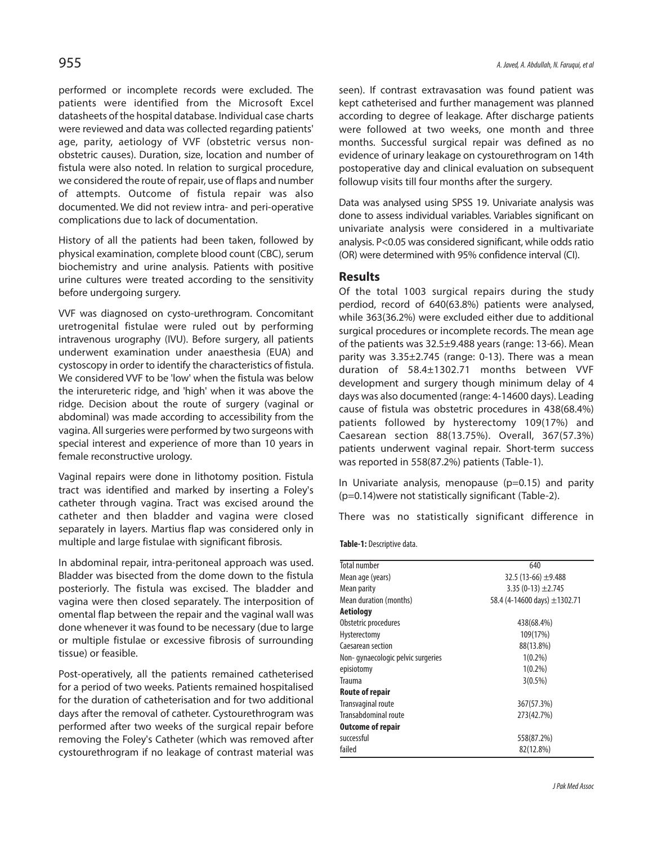performed or incomplete records were excluded. The patients were identified from the Microsoft Excel datasheets of the hospital database. Individual case charts were reviewed and data was collected regarding patients' age, parity, aetiology of VVF (obstetric versus nonobstetric causes). Duration, size, location and number of fistula were also noted. In relation to surgical procedure, we considered the route of repair, use of flaps and number of attempts. Outcome of fistula repair was also documented. We did not review intra- and peri-operative complications due to lack of documentation.

History of all the patients had been taken, followed by physical examination, complete blood count (CBC), serum biochemistry and urine analysis. Patients with positive urine cultures were treated according to the sensitivity before undergoing surgery.

VVF was diagnosed on cysto-urethrogram. Concomitant uretrogenital fistulae were ruled out by performing intravenous urography (IVU). Before surgery, all patients underwent examination under anaesthesia (EUA) and cystoscopy in order to identify the characteristics of fistula. We considered VVF to be 'low' when the fistula was below the interureteric ridge, and 'high' when it was above the ridge. Decision about the route of surgery (vaginal or abdominal) was made according to accessibility from the vagina. Allsurgeries were performed by two surgeons with special interest and experience of more than 10 years in female reconstructive urology.

Vaginal repairs were done in lithotomy position. Fistula tract was identified and marked by inserting a Foley's catheter through vagina. Tract was excised around the catheter and then bladder and vagina were closed separately in layers. Martius flap was considered only in multiple and large fistulae with significant fibrosis.

In abdominal repair, intra-peritoneal approach was used. Bladder was bisected from the dome down to the fistula posteriorly. The fistula was excised. The bladder and vagina were then closed separately. The interposition of omental flap between the repair and the vaginal wall was done whenever it was found to be necessary (due to large or multiple fistulae or excessive fibrosis of surrounding tissue) or feasible.

Post-operatively, all the patients remained catheterised for a period of two weeks. Patients remained hospitalised for the duration of catheterisation and for two additional days after the removal of catheter. Cystourethrogram was performed after two weeks of the surgical repair before removing the Foley's Catheter (which was removed after cystourethrogram if no leakage of contrast material was

seen). If contrast extravasation was found patient was kept catheterised and further management was planned according to degree of leakage. After discharge patients were followed at two weeks, one month and three months. Successful surgical repair was defined as no evidence of urinary leakage on cystourethrogram on 14th postoperative day and clinical evaluation on subsequent followup visits till four months after the surgery.

Data was analysed using SPSS 19. Univariate analysis was done to assess individual variables. Variables significant on univariate analysis were considered in a multivariate analysis. P<0.05 was considered significant, while oddsratio (OR) were determined with 95% confidence interval (CI).

#### **Results**

Of the total 1003 surgical repairs during the study perdiod, record of 640(63.8%) patients were analysed, while 363(36.2%) were excluded either due to additional surgical procedures or incomplete records. The mean age of the patients was 32.5±9.488 years (range: 13-66). Mean parity was 3.35±2.745 (range: 0-13). There was a mean duration of 58.4±1302.71 months between VVF development and surgery though minimum delay of 4 days was also documented (range: 4-14600 days). Leading cause of fistula was obstetric procedures in 438(68.4%) patients followed by hysterectomy 109(17%) and Caesarean section 88(13.75%). Overall, 367(57.3%) patients underwent vaginal repair. Short-term success was reported in 558(87.2%) patients (Table-1).

In Univariate analysis, menopause  $(p=0.15)$  and parity (p=0.14)were not statistically significant (Table-2).

There was no statistically significant difference in

**Table-1: Descriptive data.** 

| 640                          |
|------------------------------|
| 32.5 (13-66) $\pm$ 9.488     |
| $3.35(0-13) \pm 2.745$       |
| 58.4 (4-14600 days) ±1302.71 |
|                              |
| 438(68.4%)                   |
| 109(17%)                     |
| 88(13.8%)                    |
| $1(0.2\%)$                   |
| $1(0.2\%)$                   |
| $3(0.5\%)$                   |
|                              |
| 367(57.3%)                   |
| 273(42.7%)                   |
|                              |
| 558(87.2%)                   |
| 82(12.8%)                    |
|                              |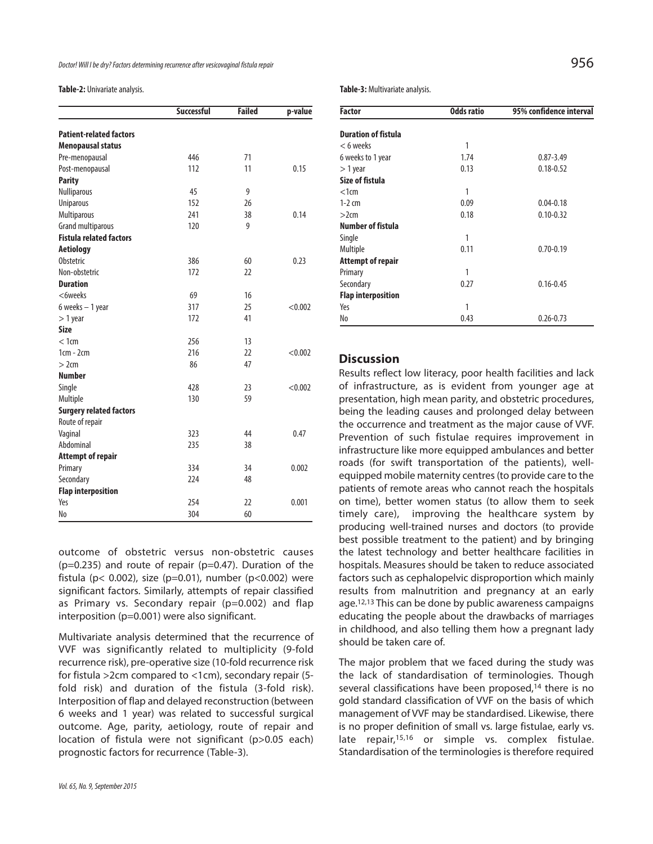Table-2: Univariate analysis.

|                                | <b>Successful</b> | <b>Failed</b> | p-value |
|--------------------------------|-------------------|---------------|---------|
| <b>Patient-related factors</b> |                   |               |         |
| <b>Menopausal status</b>       |                   |               |         |
| Pre-menopausal                 | 446               | 71            |         |
| Post-menopausal                | 112               | 11            | 0.15    |
| <b>Parity</b>                  |                   |               |         |
| Nulliparous                    | 45                | 9             |         |
| <b>Uniparous</b>               | 152               | 26            |         |
| Multiparous                    | 241               | 38            | 0.14    |
| <b>Grand multiparous</b>       | 120               | 9             |         |
| <b>Fistula related factors</b> |                   |               |         |
| <b>Aetiology</b>               |                   |               |         |
| Obstetric                      | 386               | 60            | 0.23    |
| Non-obstetric                  | 172               | 22            |         |
| <b>Duration</b>                |                   |               |         |
| <6weeks                        | 69                | 16            |         |
| 6 weeks $-1$ year              | 317               | 25            | < 0.002 |
| $> 1$ year                     | 172               | 41            |         |
| <b>Size</b>                    |                   |               |         |
| < 1cm                          | 256               | 13            |         |
| $1cm - 2cm$                    | 216               | 22            | < 0.002 |
| >2cm                           | 86                | 47            |         |
| <b>Number</b>                  |                   |               |         |
| Single                         | 428               | 23            | < 0.002 |
| Multiple                       | 130               | 59            |         |
| <b>Surgery related factors</b> |                   |               |         |
| Route of repair                |                   |               |         |
| Vaginal                        | 323               | 44            | 0.47    |
| Abdominal                      | 235               | 38            |         |
| <b>Attempt of repair</b>       |                   |               |         |
| Primary                        | 334               | 34            | 0.002   |
| Secondary                      | 224               | 48            |         |
| <b>Flap interposition</b>      |                   |               |         |
| Yeς                            | 254               | 22            | 0.001   |
| No                             | 304               | 60            |         |

outcome of obstetric versus non-obstetric causes  $(p=0.235)$  and route of repair  $(p=0.47)$ . Duration of the fistula ( $p$ < 0.002), size ( $p$ =0.01), number ( $p$ <0.002) were significant factors. Similarly, attempts of repair classified as Primary vs. Secondary repair (p=0.002) and flap interposition (p=0.001) were also significant.

Multivariate analysis determined that the recurrence of VVF was significantly related to multiplicity (9-fold recurrence risk), pre-operative size (10-fold recurrence risk for fistula >2cm compared to <1cm), secondary repair (5 fold risk) and duration of the fistula (3-fold risk). Interposition of flap and delayed reconstruction (between 6 weeks and 1 year) was related to successful surgical outcome. Age, parity, aetiology, route of repair and location of fistula were not significant (p>0.05 each) prognostic factors for recurrence (Table-3).

Table-3: Multivariate analysis.

| <b>Factor</b>              | <b>Odds ratio</b> | 95% confidence interval |
|----------------------------|-------------------|-------------------------|
| <b>Duration of fistula</b> |                   |                         |
| $< 6$ weeks                | 1                 |                         |
| 6 weeks to 1 year          | 1.74              | $0.87 - 3.49$           |
| $>1$ year                  | 0.13              | $0.18 - 0.52$           |
| Size of fistula            |                   |                         |
| $<1$ cm                    | 1                 |                         |
| $1-2$ cm                   | 0.09              | $0.04 - 0.18$           |
| >2cm                       | 0.18              | $0.10 - 0.32$           |
| <b>Number of fistula</b>   |                   |                         |
| Single                     | 1                 |                         |
| Multiple                   | 0.11              | $0.70 - 0.19$           |
| <b>Attempt of repair</b>   |                   |                         |
| Primary                    | 1                 |                         |
| Secondary                  | 0.27              | $0.16 - 0.45$           |
| <b>Flap interposition</b>  |                   |                         |
| Yes                        | 1                 |                         |
| No                         | 0.43              | $0.26 - 0.73$           |

#### **Discussion**

Results reflect low literacy, poor health facilities and lack of infrastructure, as is evident from younger age at presentation, high mean parity, and obstetric procedures, being the leading causes and prolonged delay between the occurrence and treatment as the major cause of VVF. Prevention of such fistulae requires improvement in infrastructure like more equipped ambulances and better roads (for swift transportation of the patients), wellequipped mobile maternity centres(to provide care to the patients of remote areas who cannot reach the hospitals on time), better women status (to allow them to seek timely care), improving the healthcare system by producing well-trained nurses and doctors (to provide best possible treatment to the patient) and by bringing the latest technology and better healthcare facilities in hospitals. Measures should be taken to reduce associated factors such as cephalopelvic disproportion which mainly results from malnutrition and pregnancy at an early age. 12,13 This can be done by public awareness campaigns educating the people about the drawbacks of marriages in childhood, and also telling them how a pregnant lady should be taken care of.

The major problem that we faced during the study was the lack of standardisation of terminologies. Though several classifications have been proposed, <sup>14</sup> there is no gold standard classification of VVF on the basis of which management of VVF may be standardised. Likewise, there is no proper definition of small vs. large fistulae, early vs. late repair,<sup>15,16</sup> or simple vs. complex fistulae. Standardisation of the terminologies is therefore required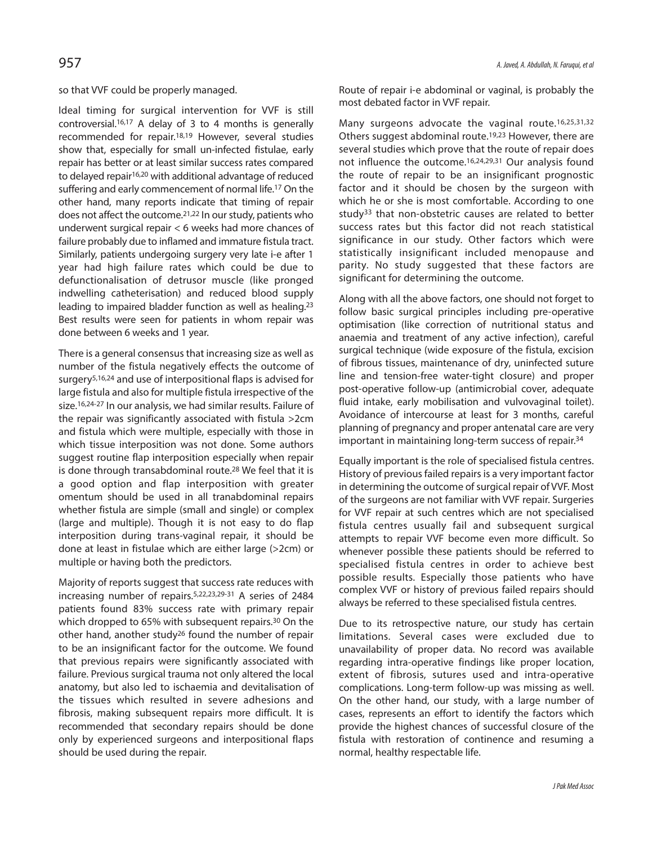so that VVF could be properly managed.

Ideal timing for surgical intervention for VVF is still controversial. 16,17 A delay of 3 to 4 months is generally recommended for repair. 18,19 However, several studies show that, especially for small un-infected fistulae, early repair has better or at least similar success rates compared to delayed repair16,20 with additional advantage of reduced suffering and early commencement of normal life. <sup>17</sup> On the other hand, many reports indicate that timing of repair does not affect the outcome. 21,22 In ourstudy, patients who underwent surgical repair < 6 weeks had more chances of failure probably due to inflamed and immature fistula tract. Similarly, patients undergoing surgery very late i-e after 1 year had high failure rates which could be due to defunctionalisation of detrusor muscle (like pronged indwelling catheterisation) and reduced blood supply leading to impaired bladder function as well as healing. 23 Best results were seen for patients in whom repair was done between 6 weeks and 1 year.

There is a general consensus that increasing size as well as number of the fistula negatively effects the outcome of surgery5,16,24 and use of interpositional flaps is advised for large fistula and also for multiple fistula irrespective of the size. 16,24-27 In our analysis, we had similar results. Failure of the repair was significantly associated with fistula >2cm and fistula which were multiple, especially with those in which tissue interposition was not done. Some authors suggest routine flap interposition especially when repair is done through transabdominal route. <sup>28</sup> We feel that it is a good option and flap interposition with greater omentum should be used in all tranabdominal repairs whether fistula are simple (small and single) or complex (large and multiple). Though it is not easy to do flap interposition during trans-vaginal repair, it should be done at least in fistulae which are either large (>2cm) or multiple or having both the predictors.

Majority of reports suggest that success rate reduces with increasing number of repairs. 5,22,23,29-31 A series of 2484 patients found 83% success rate with primary repair which dropped to 65% with subsequent repairs.<sup>30</sup> On the other hand, another study<sup>26</sup> found the number of repair to be an insignificant factor for the outcome. We found that previous repairs were significantly associated with failure. Previous surgical trauma not only altered the local anatomy, but also led to ischaemia and devitalisation of the tissues which resulted in severe adhesions and fibrosis, making subsequent repairs more difficult. It is recommended that secondary repairs should be done only by experienced surgeons and interpositional flaps should be used during the repair.

Route of repair i-e abdominal or vaginal, is probably the most debated factor in VVF repair.

Many surgeons advocate the vaginal route.<sup>16,25,31,32</sup> Others suggest abdominal route. 19,23 However, there are several studies which prove that the route of repair does not influence the outcome. 16,24,29,31 Our analysis found the route of repair to be an insignificant prognostic factor and it should be chosen by the surgeon with which he or she is most comfortable. According to one study33 that non-obstetric causes are related to better success rates but this factor did not reach statistical significance in our study. Other factors which were statistically insignificant included menopause and parity. No study suggested that these factors are significant for determining the outcome.

Along with all the above factors, one should not forget to follow basic surgical principles including pre-operative optimisation (like correction of nutritional status and anaemia and treatment of any active infection), careful surgical technique (wide exposure of the fistula, excision of fibrous tissues, maintenance of dry, uninfected suture line and tension-free water-tight closure) and proper post-operative follow-up (antimicrobial cover, adequate fluid intake, early mobilisation and vulvovaginal toilet). Avoidance of intercourse at least for 3 months, careful planning of pregnancy and proper antenatal care are very important in maintaining long-term success of repair. 34

Equally important is the role of specialised fistula centres. History of previous failed repairs is a very important factor in determining the outcome of surgical repair of VVF. Most of the surgeons are not familiar with VVF repair. Surgeries for VVF repair at such centres which are not specialised fistula centres usually fail and subsequent surgical attempts to repair VVF become even more difficult. So whenever possible these patients should be referred to specialised fistula centres in order to achieve best possible results. Especially those patients who have complex VVF or history of previous failed repairs should always be referred to these specialised fistula centres.

Due to its retrospective nature, our study has certain limitations. Several cases were excluded due to unavailability of proper data. No record was available regarding intra-operative findings like proper location, extent of fibrosis, sutures used and intra-operative complications. Long-term follow-up was missing as well. On the other hand, our study, with a large number of cases, represents an effort to identify the factors which provide the highest chances of successful closure of the fistula with restoration of continence and resuming a normal, healthy respectable life.